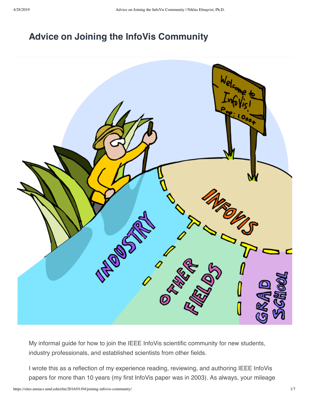# **[Advice on Joining the InfoVis Community](https://sites.umiacs.umd.edu/elm/2016/01/04/joining-infovis-community/)**



My informal guide for how to join the IEEE InfoVis scientific community for new students, industry professionals, and established scientists from other fields.

I wrote this as a reflection of my experience reading, reviewing, and authoring IEEE InfoVis papers for more than 10 years (my first InfoVis paper was in 2003). As always, your mileage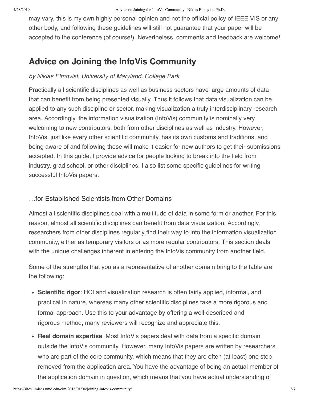may vary, this is my own highly personal opinion and not the official policy of IEEE VIS or any other body, and following these guidelines will still not guarantee that your paper will be accepted to the conference (of course!). Nevertheless, comments and feedback are welcome!

# **Advice on Joining the InfoVis Community**

### *by Niklas Elmqvist, University of Maryland, College Park*

Practically all scientific disciplines as well as business sectors have large amounts of data that can benefit from being presented visually. Thus it follows that data visualization can be applied to any such discipline or sector, making visualization a truly interdisciplinary research area. Accordingly, the information visualization (InfoVis) community is nominally very welcoming to new contributors, both from other disciplines as well as industry. However, InfoVis, just like every other scientific community, has its own customs and traditions, and being aware of and following these will make it easier for new authors to get their submissions accepted. In this guide, I provide advice for people looking to break into the field from industry, grad school, or other disciplines. I also list some specific guidelines for writing successful InfoVis papers.

# …for Established Scientists from Other Domains

Almost all scientific disciplines deal with a multitude of data in some form or another. For this reason, almost all scientific disciplines can benefit from data visualization. Accordingly, researchers from other disciplines regularly find their way to into the information visualization community, either as temporary visitors or as more regular contributors. This section deals with the unique challenges inherent in entering the InfoVis community from another field.

Some of the strengths that you as a representative of another domain bring to the table are the following:

- **Scientific rigor**: HCI and visualization research is often fairly applied, informal, and practical in nature, whereas many other scientific disciplines take a more rigorous and formal approach. Use this to your advantage by offering a well-described and rigorous method; many reviewers will recognize and appreciate this.
- **Real domain expertise**. Most InfoVis papers deal with data from a specific domain outside the InfoVis community. However, many InfoVis papers are written by researchers who are part of the core community, which means that they are often (at least) one step removed from the application area. You have the advantage of being an actual member of the application domain in question, which means that you have actual understanding of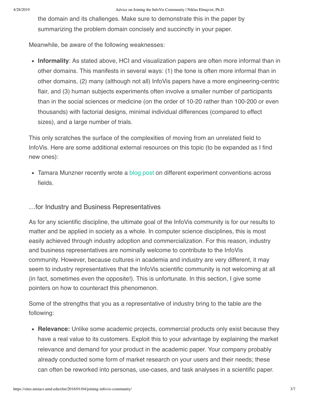the domain and its challenges. Make sure to demonstrate this in the paper by summarizing the problem domain concisely and succinctly in your paper.

Meanwhile, be aware of the following weaknesses:

**Informality**: As stated above, HCI and visualization papers are often more informal than in other domains. This manifests in several ways: (1) the tone is often more informal than in other domains, (2) many (although not all) InfoVis papers have a more engineering-centric flair, and (3) human subjects experiments often involve a smaller number of participants than in the social sciences or medicine (on the order of 10-20 rather than 100-200 or even thousands) with factorial designs, minimal individual differences (compared to effect sizes), and a large number of trials.

This only scratches the surface of the complexities of moving from an unrelated field to InfoVis. Here are some additional external resources on this topic (to be expanded as I find new ones):

• Tamara Munzner recently wrote a [blog post](https://tamaramunzner.wordpress.com/2016/01/16/on-conventions-between-fields-in-experimental-design-and-analysis/) on different experiment conventions across fields.

#### …for Industry and Business Representatives

As for any scientific discipline, the ultimate goal of the InfoVis community is for our results to matter and be applied in society as a whole. In computer science disciplines, this is most easily achieved through industry adoption and commercialization. For this reason, industry and business representatives are nominally welcome to contribute to the InfoVis community. However, because cultures in academia and industry are very different, it may seem to industry representatives that the InfoVis scientific community is not welcoming at all (in fact, sometimes even the opposite!). This is unfortunate. In this section, I give some pointers on how to counteract this phenomenon.

Some of the strengths that you as a representative of industry bring to the table are the following:

**Relevance:** Unlike some academic projects, commercial products only exist because they have a real value to its customers. Exploit this to your advantage by explaining the market relevance and demand for your product in the academic paper. Your company probably already conducted some form of market research on your users and their needs; these can often be reworked into personas, use-cases, and task analyses in a scientific paper.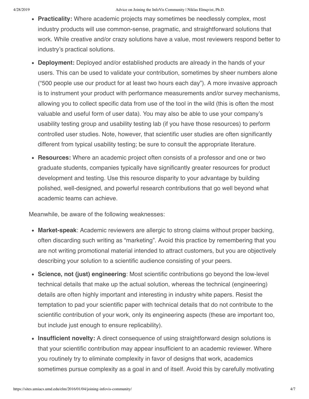- **Practicality:** Where academic projects may sometimes be needlessly complex, most industry products will use common-sense, pragmatic, and straightforward solutions that work. While creative and/or crazy solutions have a value, most reviewers respond better to industry's practical solutions.
- **Deployment:** Deployed and/or established products are already in the hands of your users. This can be used to validate your contribution, sometimes by sheer numbers alone ("500 people use our product for at least two hours each day"). A more invasive approach is to instrument your product with performance measurements and/or survey mechanisms, allowing you to collect specific data from use of the tool in the wild (this is often the most valuable and useful form of user data). You may also be able to use your company's usability testing group and usability testing lab (if you have those resources) to perform controlled user studies. Note, however, that scientific user studies are often significantly different from typical usability testing; be sure to consult the appropriate literature.
- **Resources:** Where an academic project often consists of a professor and one or two graduate students, companies typically have significantly greater resources for product development and testing. Use this resource disparity to your advantage by building polished, well-designed, and powerful research contributions that go well beyond what academic teams can achieve.

Meanwhile, be aware of the following weaknesses:

- **Market-speak**: Academic reviewers are allergic to strong claims without proper backing, often discarding such writing as "marketing". Avoid this practice by remembering that you are not writing promotional material intended to attract customers, but you are objectively describing your solution to a scientific audience consisting of your peers.
- **Science, not (just) engineering**: Most scientific contributions go beyond the low-level technical details that make up the actual solution, whereas the technical (engineering) details are often highly important and interesting in industry white papers. Resist the temptation to pad your scientific paper with technical details that do not contribute to the scientific contribution of your work, only its engineering aspects (these are important too, but include just enough to ensure replicability).
- **Insufficient novelty:** A direct consequence of using straightforward design solutions is that your scientific contribution may appear insufficient to an academic reviewer. Where you routinely try to eliminate complexity in favor of designs that work, academics sometimes pursue complexity as a goal in and of itself. Avoid this by carefully motivating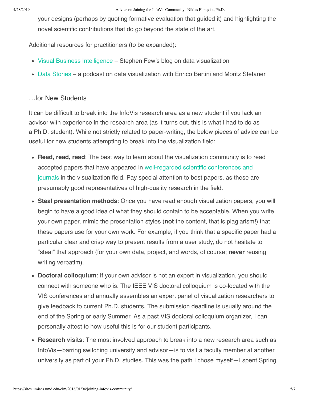your designs (perhaps by quoting formative evaluation that guided it) and highlighting the novel scientific contributions that do go beyond the state of the art.

Additional resources for practitioners (to be expanded):

- [Visual Business Intelligence](http://www.perceptualedge.com/blog/) Stephen Few's blog on data visualization
- [Data Stories](http://datastori.es/) a podcast on data visualization with Enrico Bertini and Moritz Stefaner

#### …for New Students

It can be difficult to break into the InfoVis research area as a new student if you lack an advisor with experience in the research area (as it turns out, this is what I had to do as a Ph.D. student). While not strictly related to paper-writing, the below pieces of advice can be useful for new students attempting to break into the visualization field:

- **Read, read, read**: The best way to learn about the visualization community is to read accepted papers that have appeared in well-regarded scientific conferences and journals [in the visualization field. Pay special attention to best papers, as these a](https://sites.umiacs.umd.edu/elm/2016/01/21/infovis-venues/)re presumably good representatives of high-quality research in the field.
- **Steal presentation methods**: Once you have read enough visualization papers, you will begin to have a good idea of what they should contain to be acceptable. When you write your own paper, mimic the presentation styles (**not** the content, that is plagiarism!) that these papers use for your own work. For example, if you think that a specific paper had a particular clear and crisp way to present results from a user study, do not hesitate to "steal" that approach (for your own data, project, and words, of course; **never** reusing writing verbatim).
- **Doctoral colloquium**: If your own advisor is not an expert in visualization, you should connect with someone who is. The IEEE VIS doctoral colloquium is co-located with the VIS conferences and annually assembles an expert panel of visualization researchers to give feedback to current Ph.D. students. The submission deadline is usually around the end of the Spring or early Summer. As a past VIS doctoral colloquium organizer, I can personally attest to how useful this is for our student participants.
- **Research visits**: The most involved approach to break into a new research area such as InfoVis—barring switching university and advisor—is to visit a faculty member at another university as part of your Ph.D. studies. This was the path I chose myself—I spent Spring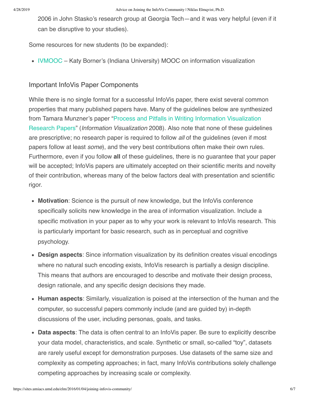2006 in John Stasko's research group at Georgia Tech—and it was very helpful (even if it can be disruptive to your studies).

Some resources for new students (to be expanded):

• [IVMOOC](http://ivmooc.cns.iu.edu/) – Katy Borner's (Indiana University) MOOC on information visualization

# Important InfoVis Paper Components

While there is no single format for a successful InfoVis paper, there exist several common properties that many published papers have. Many of the guidelines below are synthesized [from Tamara Munzner's paper "Process and Pitfalls in Writing Information Visualization](https://www.cs.ubc.ca/labs/imager/tr/2008/pitfalls/pitfalls.pdf) Research Papers" (*Information Visualization* 2008). Also note that none of these guidelines are prescriptive; no research paper is required to follow *all* of the guidelines (even if most papers follow at least *some*), and the very best contributions often make their own rules. Furthermore, even if you follow **all** of these guidelines, there is no guarantee that your paper will be accepted; InfoVis papers are ultimately accepted on their scientific merits and novelty of their contribution, whereas many of the below factors deal with presentation and scientific rigor.

- **Motivation**: Science is the pursuit of new knowledge, but the InfoVis conference specifically solicits new knowledge in the area of information visualization. Include a specific motivation in your paper as to why your work is relevant to InfoVis research. This is particularly important for basic research, such as in perceptual and cognitive psychology.
- **Design aspects**: Since information visualization by its definition creates visual encodings where no natural such encoding exists, InfoVis research is partially a design discipline. This means that authors are encouraged to describe and motivate their design process, design rationale, and any specific design decisions they made.
- **Human aspects**: Similarly, visualization is poised at the intersection of the human and the computer, so successful papers commonly include (and are guided by) in-depth discussions of the user, including personas, goals, and tasks.
- **Data aspects**: The data is often central to an InfoVis paper. Be sure to explicitly describe your data model, characteristics, and scale. Synthetic or small, so-called "toy", datasets are rarely useful except for demonstration purposes. Use datasets of the same size and complexity as competing approaches; in fact, many InfoVis contributions solely challenge competing approaches by increasing scale or complexity.